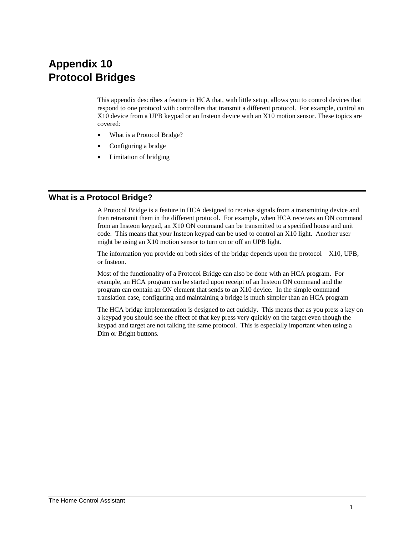# **Appendix 10 Protocol Bridges**

This appendix describes a feature in HCA that, with little setup, allows you to control devices that respond to one protocol with controllers that transmit a different protocol. For example, control an X10 device from a UPB keypad or an Insteon device with an X10 motion sensor. These topics are covered:

- What is a Protocol Bridge?
- Configuring a bridge
- Limitation of bridging

### **What is a Protocol Bridge?**

A Protocol Bridge is a feature in HCA designed to receive signals from a transmitting device and then retransmit them in the different protocol. For example, when HCA receives an ON command from an Insteon keypad, an X10 ON command can be transmitted to a specified house and unit code. This means that your Insteon keypad can be used to control an X10 light. Another user might be using an X10 motion sensor to turn on or off an UPB light.

The information you provide on both sides of the bridge depends upon the protocol – X10, UPB, or Insteon.

Most of the functionality of a Protocol Bridge can also be done with an HCA program. For example, an HCA program can be started upon receipt of an Insteon ON command and the program can contain an ON element that sends to an X10 device. In the simple command translation case, configuring and maintaining a bridge is much simpler than an HCA program

The HCA bridge implementation is designed to act quickly. This means that as you press a key on a keypad you should see the effect of that key press very quickly on the target even though the keypad and target are not talking the same protocol. This is especially important when using a Dim or Bright buttons.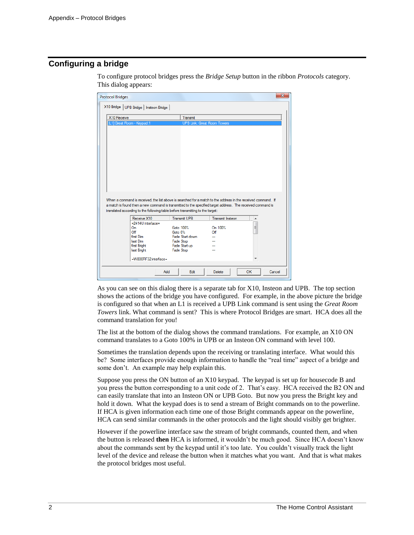## **Configuring a bridge**

| <b>Protocol Bridges</b>                  |                                                                                                                                                                                                                              |                                    | $\mathbf{x}$ |  |
|------------------------------------------|------------------------------------------------------------------------------------------------------------------------------------------------------------------------------------------------------------------------------|------------------------------------|--------------|--|
| X10 Bridge   UPB Bridge   Insteon Bridge |                                                                                                                                                                                                                              |                                    |              |  |
| X10 Receive                              | Transmit                                                                                                                                                                                                                     |                                    |              |  |
| [L1] Great Room - Keypad:1               |                                                                                                                                                                                                                              | <b>UPB Link: Great Room Towers</b> |              |  |
|                                          | When a command is received, the list above is searched for a match to the address in the received command. If<br>a match is found then a new command is transmitted to the specified target address. The received command is |                                    |              |  |
|                                          | translated according to the following table before transmitting to the target:                                                                                                                                               |                                    |              |  |
| Receive X10                              | <b>Transmit UPB</b>                                                                                                                                                                                                          | <b>Transmit Insteon</b>            | ۸            |  |
| =2414U interface=<br>On                  | Goto 100%                                                                                                                                                                                                                    | On 100%                            | Ξ            |  |
| Off                                      | Goto 0%                                                                                                                                                                                                                      | Off                                |              |  |
| first Dim                                | Fade Start down                                                                                                                                                                                                              |                                    |              |  |
| last Dim                                 | Fade Stop                                                                                                                                                                                                                    |                                    |              |  |
| first Bright                             | Fade Start up                                                                                                                                                                                                                |                                    |              |  |
| last Bright                              | <b>Fade Stop</b>                                                                                                                                                                                                             |                                    |              |  |
| =W800RF32 interface=                     |                                                                                                                                                                                                                              |                                    |              |  |
|                                          | Add<br>Edit                                                                                                                                                                                                                  | Delete                             | OK<br>Cancel |  |

To configure protocol bridges press the *Bridge Setup* button in the ribbon *Protocols* category. This dialog appears:

As you can see on this dialog there is a separate tab for X10, Insteon and UPB. The top section shows the actions of the bridge you have configured. For example, in the above picture the bridge is configured so that when an L1 is received a UPB Link command is sent using the *Great Room Towers* link. What command is sent? This is where Protocol Bridges are smart. HCA does all the command translation for you!

The list at the bottom of the dialog shows the command translations. For example, an X10 ON command translates to a Goto 100% in UPB or an Insteon ON command with level 100.

Sometimes the translation depends upon the receiving or translating interface. What would this be? Some interfaces provide enough information to handle the "real time" aspect of a bridge and some don't. An example may help explain this.

Suppose you press the ON button of an X10 keypad. The keypad is set up for housecode B and you press the button corresponding to a unit code of 2. That's easy. HCA received the B2 ON and can easily translate that into an Insteon ON or UPB Goto. But now you press the Bright key and hold it down. What the keypad does is to send a stream of Bright commands on to the powerline. If HCA is given information each time one of those Bright commands appear on the powerline, HCA can send similar commands in the other protocols and the light should visibly get brighter.

However if the powerline interface saw the stream of bright commands, counted them, and when the button is released **then** HCA is informed, it wouldn't be much good. Since HCA doesn't know about the commands sent by the keypad until it's too late. You couldn't visually track the light level of the device and release the button when it matches what you want. And that is what makes the protocol bridges most useful.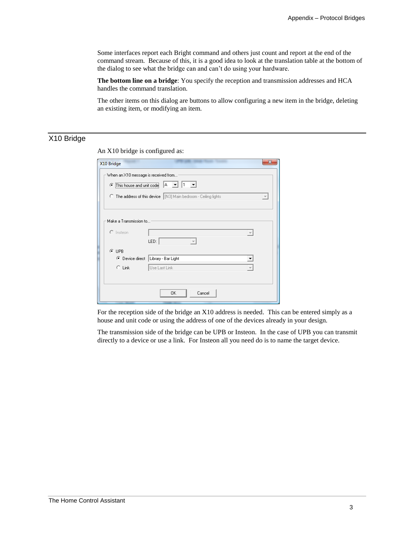Some interfaces report each Bright command and others just count and report at the end of the command stream. Because of this, it is a good idea to look at the translation table at the bottom of the dialog to see what the bridge can and can't do using your hardware.

**The bottom line on a bridge**: You specify the reception and transmission addresses and HCA handles the command translation.

The other items on this dialog are buttons to allow configuring a new item in the bridge, deleting an existing item, or modifying an item.

# X10 Bridge

| X10 Bridge                                                                                    |                     |  |  |  |
|-----------------------------------------------------------------------------------------------|---------------------|--|--|--|
| When an X10 message is received from                                                          |                     |  |  |  |
| ۱A.<br>$\vert \mathbf{v} \vert$<br>● This house and unit code                                 |                     |  |  |  |
| C The address of this device   [N3] Main bedroom - Ceiling lights<br>$\overline{\mathcal{M}}$ |                     |  |  |  |
|                                                                                               |                     |  |  |  |
| Make a Transmission to                                                                        |                     |  |  |  |
| $C$ Instean                                                                                   |                     |  |  |  |
|                                                                                               | LED:                |  |  |  |
| $C$ UPB                                                                                       |                     |  |  |  |
| ⊙ Device direct                                                                               | Library - Bar Light |  |  |  |
| $C$ Link                                                                                      | Use Last Link       |  |  |  |
|                                                                                               |                     |  |  |  |
|                                                                                               |                     |  |  |  |
|                                                                                               | 0K<br>Cancel        |  |  |  |

An X10 bridge is configured as:

For the reception side of the bridge an X10 address is needed. This can be entered simply as a house and unit code or using the address of one of the devices already in your design.

The transmission side of the bridge can be UPB or Insteon. In the case of UPB you can transmit directly to a device or use a link. For Insteon all you need do is to name the target device.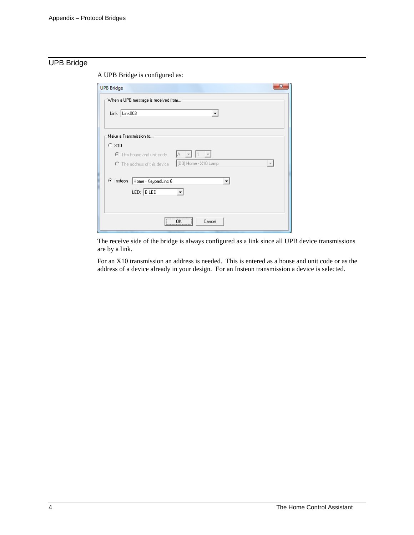## UPB Bridge

A UPB Bridge is configured as:

| <b>UPB Bridge</b>                                                                |
|----------------------------------------------------------------------------------|
| When a UPB message is received from                                              |
| Link   Link003                                                                   |
|                                                                                  |
| Make a Transmission to                                                           |
| C X10                                                                            |
| C This house and unit code<br>IA.<br>$\mathbb{Z}$                                |
| [D3] Home - X10 Lamp<br>C The address of this device<br>$\overline{\phantom{a}}$ |
|                                                                                  |
| C Insteon   Home - KeypadLinc 6                                                  |
| LED: $B$ LED<br>▼                                                                |
|                                                                                  |
| $\overline{\mathsf{R}}$<br>Cancel<br>                                            |

The receive side of the bridge is always configured as a link since all UPB device transmissions are by a link.

For an X10 transmission an address is needed. This is entered as a house and unit code or as the address of a device already in your design. For an Insteon transmission a device is selected.